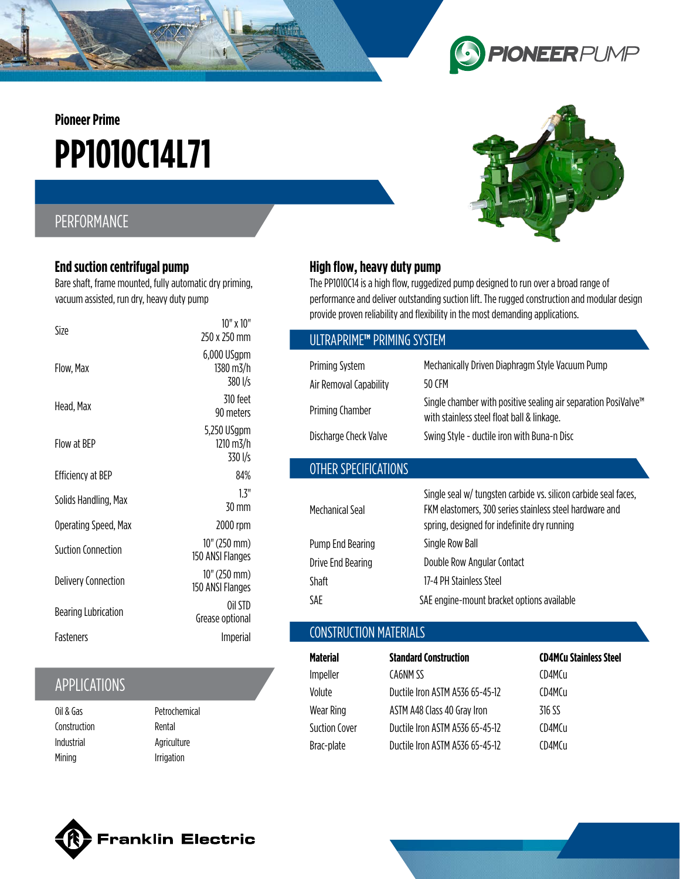**Pioneer Prime**

# **PP1010C14L71**

## PERFORMANCE

#### **End suction centrifugal pump**

Bare shaft, frame mounted, fully automatic dry priming, vacuum assisted, run dry, heavy duty pump

| Size                       | 10" x 10"<br>250 x 250 mm             |
|----------------------------|---------------------------------------|
| Flow, Max                  | $6,000$ USgpm<br>1380 m3/h<br>380 I/s |
| Head, Max                  | 310 feet<br>90 meters                 |
| Flow at BEP                | 5,250 USgpm<br>1210 m3/h<br>330 I/s   |
| Efficiency at BEP          | 84%                                   |
| Solids Handling, Max       | 1.3"<br>30 mm                         |
| Operating Speed, Max       | 2000 rpm                              |
| <b>Suction Connection</b>  | 10" (250 mm)<br>150 ANSI Flanges      |
| <b>Delivery Connection</b> | 10" (250 mm)<br>150 ANSI Flanges      |
| <b>Bearing Lubrication</b> | Oil STD<br>Grease optional            |
| Fasteners                  | Imperial                              |

# APPLICATIONS

| Oil & Gas    |
|--------------|
| Construction |
| Industrial   |
| Mining       |

Petrochemical Rental Agriculture Irrigation

## **High flow, heavy duty pump**

The PP1010C14 is a high flow, ruggedized pump designed to run over a broad range of performance and deliver outstanding suction lift. The rugged construction and modular design provide proven reliability and flexibility in the most demanding applications.

#### ULTRAPRIME**™** PRIMING SYSTEM

| Priming System         | Mechanically Driven Diaphragm Style Vacuum Pump                                                              |
|------------------------|--------------------------------------------------------------------------------------------------------------|
| Air Removal Capability | 50 CFM                                                                                                       |
| Priming Chamber        | Single chamber with positive sealing air separation PosiValve™<br>with stainless steel float ball & linkage. |
| Discharge Check Valve  | Swing Style - ductile iron with Buna-n Disc                                                                  |

### OTHER SPECIFICATIONS

| Mechanical Seal   | Single seal w/ tungsten carbide vs. silicon carbide seal faces,<br>FKM elastomers, 300 series stainless steel hardware and<br>spring, designed for indefinite dry running |
|-------------------|---------------------------------------------------------------------------------------------------------------------------------------------------------------------------|
| Pump End Bearing  | Single Row Ball                                                                                                                                                           |
| Drive End Bearing | Double Row Angular Contact                                                                                                                                                |
| Shaft             | 17-4 PH Stainless Steel                                                                                                                                                   |
| SAE               | SAE engine-mount bracket options available                                                                                                                                |

## CONSTRUCTION MATERIALS

| <b>Material</b>      | <b>Standard Construction</b>    | <b>CD4MCu Stainless Steel</b> |
|----------------------|---------------------------------|-------------------------------|
| Impeller             | CA6NM SS                        | CD4MCu                        |
| Volute               | Ductile Iron ASTM A536 65-45-12 | CD4MCu                        |
| Wear Ring            | ASTM A48 Class 40 Gray Iron     | 316 SS                        |
| <b>Suction Cover</b> | Ductile Iron ASTM A536 65-45-12 | CD4MCu                        |
| Brac-plate           | Ductile Iron ASTM A536 65-45-12 | CD4MCu                        |